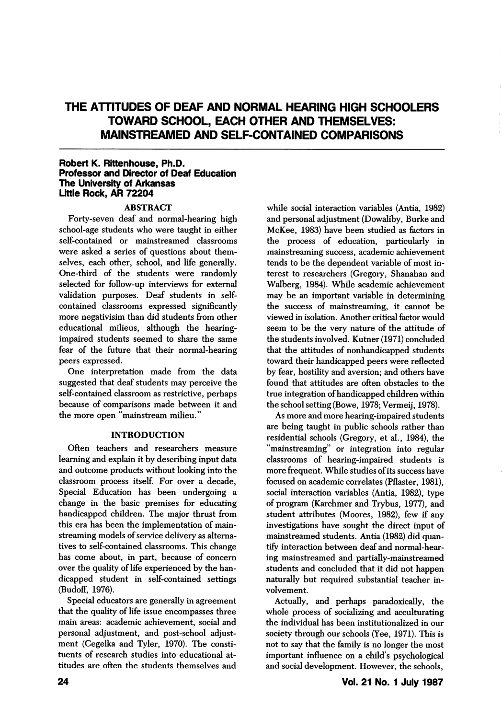# THE ATTITUDES OF DEAF AND NORMAL HEARING HIGH SCHOOLERS TOWARD SCHOOL, EACH OTHER AND THEMSELVES: MAINSTREAMED AND SELF-CONTAINED COMPARISONS

#### Robert K. Rittenhouse, Ph.D. Professor and Director of Deaf Education The University of Arkansas Little Rock, AR 72204

### ABSTRACT

Forty-seven deaf and normal-hearing high school-age students who were taught in either self-contained or mainstreamed classrooms were asked a series of questions about them selves, each other, school, and life generally. One-third of the students were randomly selected for follow-up interviews for external validation purposes. Deaf students in selfcontained classrooms expressed significantly more negativisim than did students from other educational milieus, although the hearingimpaired students seemed to share the same fear of the future that their normal-hearing peers expressed.

One interpretation made from the data suggested that deaf students may perceive the self-contained classroom as restrictive, perhaps because of comparisons made between it and the more open "mainstream milieu."

### INTRODUCTION

Often teachers and researchers measure learning and explain it by describing input data and outcome products without looking into the classroom process itself. For over a decade. Special Education has been undergoing a change in the basic premises for educating handicapped children. The major thrust from this era has been the implementation of mainstreaming models of service delivery as alterna tives to self-contained classrooms. This change has come about, in part, because of concern over the quality of life experienced by the han dicapped student in self-contained settings (Budoff, 1976).

Special educators are generally in agreement that the quality of life issue encompasses three main areas: academic achievement, social and personal adjustment, and post-school adjust ment (Cegelka and Tyler, 1970). The consti tuents of research studies into educational at titudes are often the students themselves and

while social interaction variables (Antia, 1982) and personal adjustment (Dowaliby, Burke and McKee, 1983) have been studied as factors in the process of education, particularly in mainstreaming success, academic achievement tends to be the dependent variable of most in terest to researchers (Gregory, Shanahan and Walberg, 1984). While academic achievement may be an important variable in determining the success of mainstreaming, it cannot be viewed in isolation. Another critical factor would seem to be the very nature of the attitude of the students involved. Kutner (1971) concluded that the attitudes of nonhandicapped students toward their handicapped peers were reflected by fear, hostility and aversion; and others have found that attitudes are often obstacles to the true integration of handicapped children within the school setting (Bowe, 1978; Vermeij, 1978).

As more and more hearing-impaired students are being taught in public schools rather than residential schools (Gregory, et al., 1984), the "mainstreaming" or integration into regular classrooms of hearing-impaired students is more frequent. While studies of its success have focused on academic correlates (Pflaster, 1981), social interaction variables (Antia, 1982), type of program (Karchmer and Trybus, 1977), and student attributes (Moores, 1982), few if any investigations have sought the direct input of mainstreamed students. Antia (1982) did quan tify interaction between deaf and normal-hear ing mainstreamed and partially-mainstreamed students and concluded that it did not happen naturally but required substantial teacher in volvement.

Actually, and perhaps paradoxically, the whole process of socializing and acculturating the individual has been institutionalized in our society through our schools (Yee, 1971). This is not to say that the family is no longer the most important influence on a child's psychological and social development. However, the schools.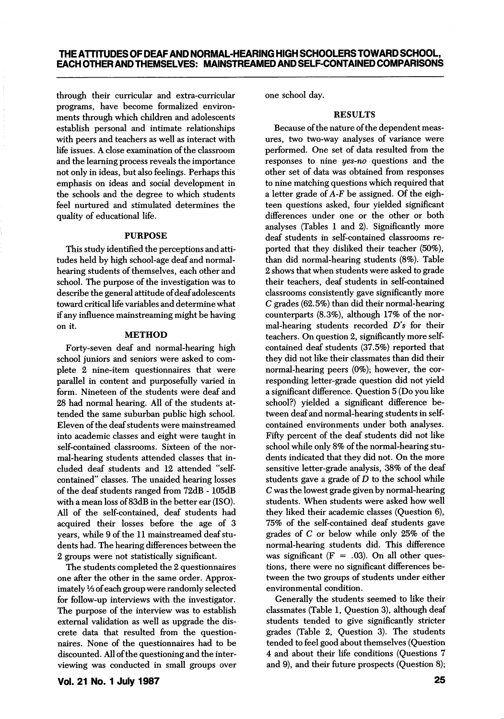through their curricular and extra-curricular programs, have become formalized environ ments through which children and adolescents establish personal and intimate relationships with peers and teachers as well as interact with life issues. A close examination of the classroom and the learning process reveals the importance not only in ideas, but also feelings. Perhaps this emphasis on ideas and social development in the schools and the degree to which students feel nurtured and stimulated determines the quality of educational life.

### PURPOSE

This study identified the perceptions and atti tudes held by high school-age deaf and normalhearing students of themselves, each other and school. The purpose of the investigation was to describe the general attitude of deaf adolescents toward critical life variables and determine what if any influence mainstreaming might be having on it.

### METHOD

Forty-seven deaf and normal-hearing high school juniors and seniors were asked to com plete 2 nine-item questionnaires that were parallel in content and purposefully varied in form. Nineteen of the students were deaf and 28 had normal hearing. All of the students at tended the same suburban public high school. Eleven of the deaf students were mainstreamed into academic classes and eight were taught in self-contained classrooms. Sixteen of the nor mal-hearing students attended classes that in cluded deaf students and 12 attended "selfcontained" classes. The unaided hearing losses of the deaf students ranged from 72dB - 105dB with a mean loss of 83dB in the better ear (ISO). All of the self-contained, deaf students had acquired their losses before the age of 3 years, while 9 of the 11 mainstreamed deaf stu dents had. The hearing differences between the 2 groups were not statistically significant.

The students completed the 2 questionnaires one after the other in the same order. Approx imately Vs of each group were randomly selected for follow-up interviews with the investigator. The purpose of the interview was to establish external validation as well as upgrade the dis crete data that resulted from the question naires. None of the questionnaires had to be discounted. All of the questioning and the inter viewing was conducted in small groups over one school day.

## RESULTS

Because of the nature of the dependent meas ures, two two-way analyses of variance were performed. One set of data resulted from the responses to nine yes-no questions and the other set of data was obtained from responses to nine matching questions which required that a letter grade of A-F be assigned. Of the eigh teen questions asked, four yielded significant differences under one or the other or both analyses (Tables 1 and 2). Significantly more deaf students in self-contained classrooms re ported that they disliked their teacher (50%), than did normal-hearing students (8%). Table 2 shows that when students were asked to grade their teachers, deaf students in self-contained classrooms consistently gave significantly more C grades (62.5%) than did their normal-hearing counterparts (8.3%), although 17% of the nor mal-hearing students recorded  $D$ 's for their teachers. On question 2, significantly more selfcontained deaf students (37.5%) reported that they did not like their classmates than did their normal-hearing peers (0%); however, the cor responding letter-grade question did not yield a significant difference. Question 5 (Do you like school?) yielded a significant difference be tween deaf and normal-hearing students in selfcontained environments under both analyses. Fifty percent of the deaf students did not like school while only 8% of the normal-hearing stu dents indicated that they did not. On the more sensitive letter-grade analysis, 38% of the deaf students gave a grade of  $D$  to the school while C was the lowest grade given by normal-hearing students. When students were asked how well they liked their academic classes (Question 6), 75% of the self-contained deaf students gave grades of C or below while only 25% of the normal-hearing students did. This difference was significant  $(F = .03)$ . On all other questions, there were no significant differences be tween the two groups of students under either environmental condition.

Generally the students seemed to like their classmates (Table 1, Question 3), although deaf students tended to give significantly stricter grades (Table 2, Question 3). The students tended to feel good about themselves (Question 4 and about their life conditions (Questions 7 and 9), and their future prospects (Question 8);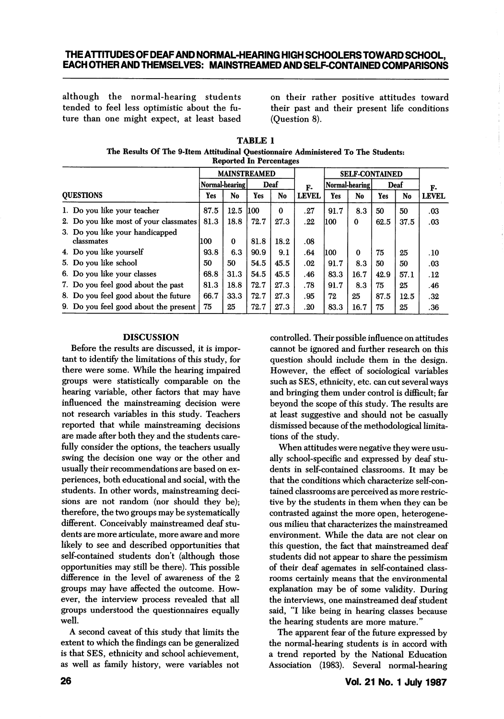### THE ATTITUDES OF DEAF AND NORMAL-HEARING HIGH SCHOOLERS TOWARD SCHOOL, EACH OTHER AND THEMSELVES: MAINSTREAMED AND SELF-CONTAINED COMPARISONS

although the normal-hearing students tended to feel less optimistic about the fu ture than one might expect, at least based on their rather positive attitudes toward their past and their present life conditions (Question 8).

| <b>TABLE 1</b>                                                                    |  |  |  |  |  |  |  |  |  |
|-----------------------------------------------------------------------------------|--|--|--|--|--|--|--|--|--|
| The Results Of The 9-Item Attitudinal Questionnaire Administered To The Students: |  |  |  |  |  |  |  |  |  |
| <b>Reported In Percentages</b>                                                    |  |  |  |  |  |  |  |  |  |

|                  |                                               | <b>MAINSTREAMED</b> |      |      |              | <b>SELF-CONTAINED</b> |                |          |      |      |              |
|------------------|-----------------------------------------------|---------------------|------|------|--------------|-----------------------|----------------|----------|------|------|--------------|
|                  |                                               | Normal-hearing      |      | Deaf |              | F-                    | Normal-hearing |          | Deaf |      | F-           |
| <b>OUESTIONS</b> |                                               | Yes                 | No   | Yes  | No           | <b>LEVEL</b>          | Yes            | No       | Yes  | No   | <b>LEVEL</b> |
|                  | 1. Do you like your teacher                   | 87.5                | 12.5 | 1100 | $\mathbf{0}$ | .27                   | 91.7           | 8.3      | 50   | 50   | .03          |
|                  | 2. Do you like most of your classmates        | 81.3                | 18.8 | 72.7 | 27.3         | . 22                  | 1100           | $\Omega$ | 62.5 | 37.5 | .03          |
|                  | 3. Do you like your handicapped<br>classmates | 100                 | 0    | 81.8 | 18.2         | .08                   |                |          |      |      |              |
|                  | 4. Do you like yourself                       | 93.8                | 6.3  | 90.9 | 9.1          | .64                   | 100            | 0        | 75   | 25   | .10          |
|                  | 5. Do you like school                         | 50                  | 50   | 54.5 | 45.5         | .02                   | 91.7           | 8.3      | 50   | 50   | .03          |
|                  | 6. Do you like your classes                   | 68.8                | 31.3 | 54.5 | 45.5         | .46                   | 83.3           | 16.7     | 42.9 | 57.1 | .12          |
|                  | 7. Do you feel good about the past            | 81.3                | 18.8 | 72.7 | 27.3         | .78                   | 91.7           | 8.3      | 75   | 25   | .46          |
|                  | 8. Do you feel good about the future          | 66.7                | 33.3 | 72.7 | 27.3         | .95                   | 72             | 25       | 87.5 | 12.5 | .32          |
|                  | 9. Do you feel good about the present         | 75                  | 25   | 72.7 | 27.3         | .20                   | 83.3           | 16.7     | 75   | 25   | .36          |

### **DISCUSSION**

Before the results are discussed, it is impor tant to identify the limitations of this study, for there were some. While the hearing impaired groups were statistically comparable on the hearing variable, other factors that may have influenced the mainstreaming decision were not research variables in this study. Teachers reported that while mainstreaming decisions are made after both they and the students care fully consider the options, the teachers usually swing the decision one way or the other and usually their recommendations are based on ex periences, both educational and social, with the students. In other words, mainstreaming deci sions are not random (nor should they be); therefore, the two groups may be systematically different. Conceivably mainstreamed deaf students are more articulate, more aware and more likely to see and described opportunities that self-contained students don't (although those opportunities may still be there). This possible difference in the level of awareness of the 2 groups may have affected the outcome. How ever, the interview process revealed that all groups understood the questionnaires equally well.

A second caveat of this study that limits the extent to which the findings can be generalized is that SES, ethnicity and school achievement, as well as family history, were variables not

controlled. Their possible influence on attitudes cannot be ignored and further research on this question should include them in the design. However, the effect of sociological variables such as SES, ethnicity, etc. can cut several ways and bringing them under control is difficult; far beyond the scope of this study. The results are at least suggestive and should not be casually dismissed because of the methodological limita tions of the study.

When attitudes were negative they were usu ally school-specific and expressed by deaf stu dents in self-contained classrooms. It may be that the conditions which characterize self-con tained classrooms are perceived as more restric tive by the students in them when they can be contrasted against the more open, heterogene ous milieu that characterizes the mainstreamed environment. While the data are not clear on this question, the fact that mainstreamed deaf students did not appear to share the pessimism of their deaf agemates in self-contained class rooms certainly means that the environmental explanation may be of some validity. During the interviews, one mainstreamed deaf student said, "I like being in hearing classes because the hearing students are more mature."

The apparent fear of the future expressed by the normal-hearing students is in accord with a trend reported by the National Education Association (1983). Several normal-hearing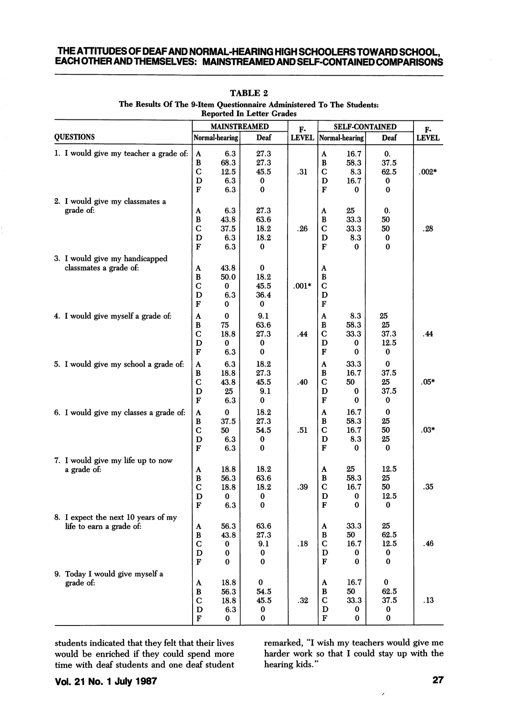### THE ATTITUDES OF DEAF AND NORMAL-HEARING HIGH SCHOOLERS TOWARD SCHOOL, EACH OTHER AND THEMSELVES: MAINSTREAMED AND SELF-CONTAINED COMPARISONS

|                                                                 |                                         |                                      | <b>MAINSTREAMED</b>                      | F-           | <b>SELF-CONTAINED</b>              | F-                                  |                                      |              |
|-----------------------------------------------------------------|-----------------------------------------|--------------------------------------|------------------------------------------|--------------|------------------------------------|-------------------------------------|--------------------------------------|--------------|
| <b>QUESTIONS</b>                                                | Normal-hearing                          |                                      | Deaf                                     | <b>LEVEL</b> |                                    | Normal-hearing                      | Deaf                                 | <b>LEVEL</b> |
| 1. I would give my teacher a grade of:                          | A<br>В<br>Ċ<br>D<br>F                   | 6.3<br>68.3<br>12.5<br>6.3<br>6.3    | 27.3<br>27.3<br>45.5<br>0<br>$\bf{0}$    | .31          | A<br>B<br>C<br>D<br>F              | 16.7<br>58.3<br>8.3<br>16.7<br>0    | 0.<br>37.5<br>62.5<br>0<br>0         | $.002*$      |
| 2. I would give my classmates a<br>grade of:                    | A<br>B<br>C<br>D<br>F                   | 6.3<br>43.8<br>37.5<br>6.3<br>6.3    | 27.3<br>63.6<br>18.2<br>18.2<br>$\bf{0}$ | .26          | A<br>B<br>$\overline{C}$<br>D<br>F | 25<br>33.3<br>33.3<br>8.3<br>0      | 0.<br>50<br>50<br>0<br>0             | .28          |
| 3. I would give my handicapped<br>classmates a grade of:        | A<br>В<br>$\mathbf C$<br>D<br>F         | 43.8<br>50.0<br>$\bf{0}$<br>6.3<br>0 | 0<br>18.2<br>45.5<br>36.4<br>0           | $.001*$      | A<br>B<br>$\mathbf C$<br>D<br>F    |                                     |                                      |              |
| 4. I would give myself a grade of:                              | A<br>B<br>$\mathbf C$<br>D<br>F         | 0<br>75<br>18.8<br>0<br>6.3          | 9.1<br>63.6<br>27.3<br>0<br>0            | .44          | A<br>$\bf{B}$<br>C<br>D<br>F       | 8.3<br>58.3<br>33.3<br>0<br>0       | 25<br>25<br>37.3<br>12.5<br>0        | .44          |
| 5. I would give my school a grade of:                           | A<br>B<br>$\overline{C}$<br>D<br>F      | 6.3<br>18.8<br>43.8<br>25<br>6.3     | 18.2<br>27.3<br>45.5<br>9.1<br>$\bf{0}$  | .40          | A<br>B<br>C<br>D<br>F              | 33.3<br>16.7<br>50<br>0<br>$\bf{0}$ | $\bf{0}$<br>37.5<br>25<br>37.5<br>0  | $.05*$       |
| 6. I would give my classes a grade of:                          | A<br>В<br>$\mathbf C$<br>D<br>F         | $\bf{0}$<br>37.5<br>50<br>6.3<br>6.3 | 18.2<br>27.3<br>54.5<br>0<br>$\bf{0}$    | .51          | A<br>B<br>C<br>D<br>F              | 16.7<br>58.3<br>16.7<br>8.3<br>0    | $\bf{0}$<br>25<br>50<br>25<br>0      | $.03*$       |
| 7. I would give my life up to now<br>a grade of:                | A<br>В<br>$\mathbf C$<br>D<br>F         | 18.8<br>56.3<br>18.8<br>0<br>6.3     | 18.2<br>63.6<br>18.2<br>0<br>$\bf{0}$    | .39          | A<br>В<br>C<br>D<br>F              | 25<br>58.3<br>16.7<br>0<br>0        | 12.5<br>25<br>50<br>12.5<br>$\bf{0}$ | .35          |
| 8. I expect the next 10 years of my<br>life to earn a grade of: | A<br>В<br>$\mathbf C$<br>D<br>${\bf F}$ | 56.3<br>43.8<br>0<br>0<br>$\bf{0}$   | 63.6<br>27.3<br>9.1<br>0<br>$\bf{0}$     | .18          | A<br>в<br>C<br>D<br>F              | 33.3<br>50<br>16.7<br>0<br>0        | 25<br>62.5<br>12.5<br>0<br>0         | .46          |
| 9. Today I would give myself a<br>grade of:                     | A<br>в<br>C<br>D<br>F                   | 18.8<br>56.3<br>18.8<br>6.3<br>0     | 0<br>54.5<br>45.5<br>0<br>0              | .32          | A<br>B<br>C<br>D<br>F              | 16.7<br>50<br>33.3<br>0<br>0        | $\bf{0}$<br>62.5<br>37.5<br>0<br>0   | .13          |

#### TABLE 2 The Results Of The 9-Item Questionnaire Administered To The Students: Reported In Letter Grades

students indicated that they felt that their lives would be enriched if they could spend more time with deaf students and one deaf student

remarked, "I wish my teachers would give me harder work so that I could stay up with the hearing kids."